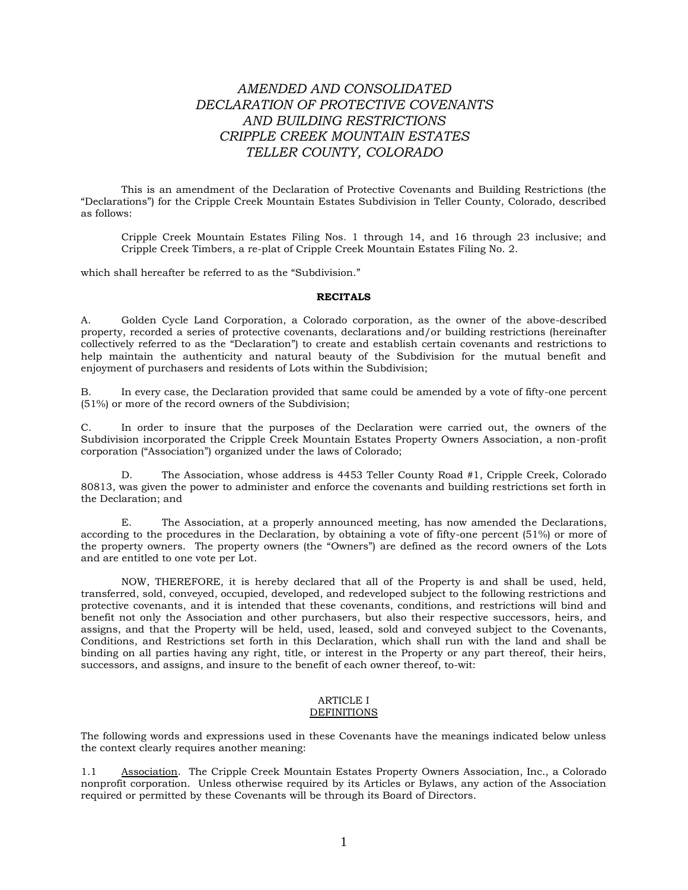# *AMENDED AND CONSOLIDATED DECLARATION OF PROTECTIVE COVENANTS AND BUILDING RESTRICTIONS CRIPPLE CREEK MOUNTAIN ESTATES TELLER COUNTY, COLORADO*

This is an amendment of the Declaration of Protective Covenants and Building Restrictions (the "Declarations") for the Cripple Creek Mountain Estates Subdivision in Teller County, Colorado, described as follows:

Cripple Creek Mountain Estates Filing Nos. 1 through 14, and 16 through 23 inclusive; and Cripple Creek Timbers, a re-plat of Cripple Creek Mountain Estates Filing No. 2.

which shall hereafter be referred to as the "Subdivision."

#### **RECITALS**

A. Golden Cycle Land Corporation, a Colorado corporation, as the owner of the above-described property, recorded a series of protective covenants, declarations and/or building restrictions (hereinafter collectively referred to as the "Declaration") to create and establish certain covenants and restrictions to help maintain the authenticity and natural beauty of the Subdivision for the mutual benefit and enjoyment of purchasers and residents of Lots within the Subdivision;

B. In every case, the Declaration provided that same could be amended by a vote of fifty-one percent (51%) or more of the record owners of the Subdivision;

C. In order to insure that the purposes of the Declaration were carried out, the owners of the Subdivision incorporated the Cripple Creek Mountain Estates Property Owners Association, a non-profit corporation ("Association") organized under the laws of Colorado;

The Association, whose address is 4453 Teller County Road #1, Cripple Creek, Colorado 80813, was given the power to administer and enforce the covenants and building restrictions set forth in the Declaration; and

E. The Association, at a properly announced meeting, has now amended the Declarations, according to the procedures in the Declaration, by obtaining a vote of fifty-one percent (51%) or more of the property owners. The property owners (the "Owners") are defined as the record owners of the Lots and are entitled to one vote per Lot.

NOW, THEREFORE, it is hereby declared that all of the Property is and shall be used, held, transferred, sold, conveyed, occupied, developed, and redeveloped subject to the following restrictions and protective covenants, and it is intended that these covenants, conditions, and restrictions will bind and benefit not only the Association and other purchasers, but also their respective successors, heirs, and assigns, and that the Property will be held, used, leased, sold and conveyed subject to the Covenants, Conditions, and Restrictions set forth in this Declaration, which shall run with the land and shall be binding on all parties having any right, title, or interest in the Property or any part thereof, their heirs, successors, and assigns, and insure to the benefit of each owner thereof, to-wit:

#### ARTICLE I DEFINITIONS

The following words and expressions used in these Covenants have the meanings indicated below unless the context clearly requires another meaning:

1.1 Association. The Cripple Creek Mountain Estates Property Owners Association, Inc., a Colorado nonprofit corporation. Unless otherwise required by its Articles or Bylaws, any action of the Association required or permitted by these Covenants will be through its Board of Directors.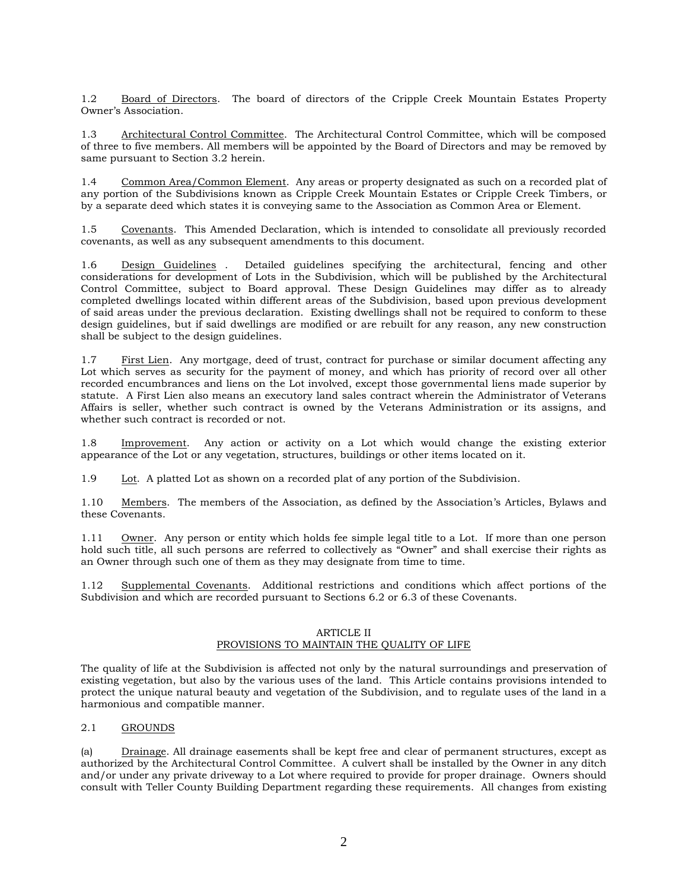1.2 Board of Directors. The board of directors of the Cripple Creek Mountain Estates Property Owner's Association.

1.3 Architectural Control Committee. The Architectural Control Committee, which will be composed of three to five members. All members will be appointed by the Board of Directors and may be removed by same pursuant to Section 3.2 herein.

1.4 Common Area/Common Element. Any areas or property designated as such on a recorded plat of any portion of the Subdivisions known as Cripple Creek Mountain Estates or Cripple Creek Timbers, or by a separate deed which states it is conveying same to the Association as Common Area or Element.

1.5 Covenants. This Amended Declaration, which is intended to consolidate all previously recorded covenants, as well as any subsequent amendments to this document.

1.6 Design Guidelines . Detailed guidelines specifying the architectural, fencing and other considerations for development of Lots in the Subdivision, which will be published by the Architectural Control Committee, subject to Board approval. These Design Guidelines may differ as to already completed dwellings located within different areas of the Subdivision, based upon previous development of said areas under the previous declaration. Existing dwellings shall not be required to conform to these design guidelines, but if said dwellings are modified or are rebuilt for any reason, any new construction shall be subject to the design guidelines.

1.7 First Lien. Any mortgage, deed of trust, contract for purchase or similar document affecting any Lot which serves as security for the payment of money, and which has priority of record over all other recorded encumbrances and liens on the Lot involved, except those governmental liens made superior by statute. A First Lien also means an executory land sales contract wherein the Administrator of Veterans Affairs is seller, whether such contract is owned by the Veterans Administration or its assigns, and whether such contract is recorded or not.

1.8 Improvement. Any action or activity on a Lot which would change the existing exterior appearance of the Lot or any vegetation, structures, buildings or other items located on it.

1.9 Lot. A platted Lot as shown on a recorded plat of any portion of the Subdivision.

1.10 Members. The members of the Association, as defined by the Association's Articles, Bylaws and these Covenants.

1.11 Owner. Any person or entity which holds fee simple legal title to a Lot. If more than one person hold such title, all such persons are referred to collectively as "Owner" and shall exercise their rights as an Owner through such one of them as they may designate from time to time.

1.12 Supplemental Covenants. Additional restrictions and conditions which affect portions of the Subdivision and which are recorded pursuant to Sections 6.2 or 6.3 of these Covenants.

## ARTICLE II PROVISIONS TO MAINTAIN THE QUALITY OF LIFE

The quality of life at the Subdivision is affected not only by the natural surroundings and preservation of existing vegetation, but also by the various uses of the land. This Article contains provisions intended to protect the unique natural beauty and vegetation of the Subdivision, and to regulate uses of the land in a harmonious and compatible manner.

## 2.1 GROUNDS

(a) Drainage. All drainage easements shall be kept free and clear of permanent structures, except as authorized by the Architectural Control Committee*.* A culvert shall be installed by the Owner in any ditch and/or under any private driveway to a Lot where required to provide for proper drainage. Owners should consult with Teller County Building Department regarding these requirements. All changes from existing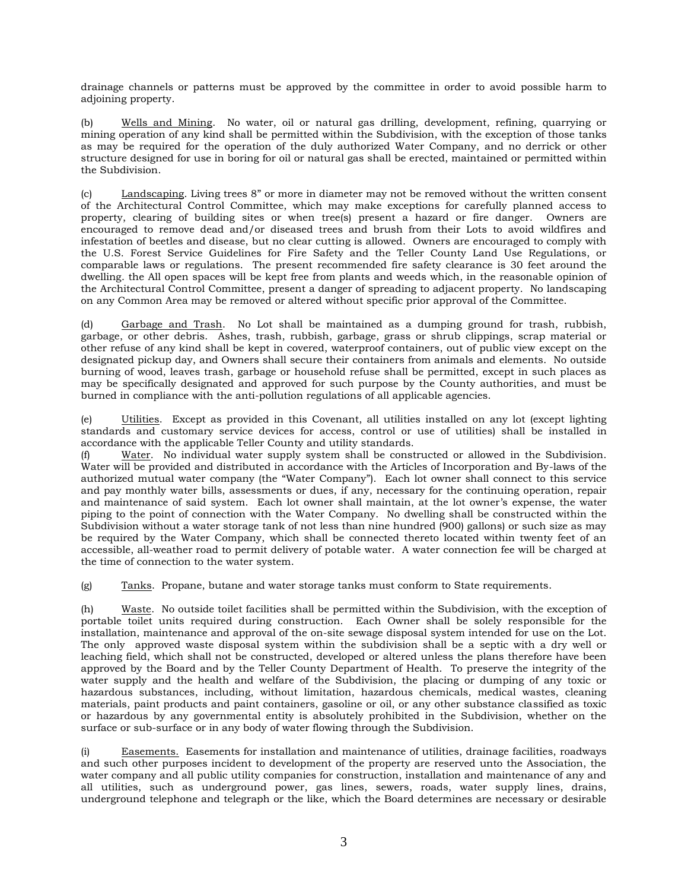drainage channels or patterns must be approved by the committee in order to avoid possible harm to adjoining property.

(b) Wells and Mining. No water, oil or natural gas drilling, development, refining, quarrying or mining operation of any kind shall be permitted within the Subdivision, with the exception of those tanks as may be required for the operation of the duly authorized Water Company, and no derrick or other structure designed for use in boring for oil or natural gas shall be erected, maintained or permitted within the Subdivision.

(c) Landscaping. Living trees 8" or more in diameter may not be removed without the written consent of the Architectural Control Committee, which may make exceptions for carefully planned access to property, clearing of building sites or when tree(s) present a hazard or fire danger. Owners are encouraged to remove dead and/or diseased trees and brush from their Lots to avoid wildfires and infestation of beetles and disease, but no clear cutting is allowed. Owners are encouraged to comply with the U.S. Forest Service Guidelines for Fire Safety and the Teller County Land Use Regulations, or comparable laws or regulations. The present recommended fire safety clearance is 30 feet around the dwelling. the All open spaces will be kept free from plants and weeds which, in the reasonable opinion of the Architectural Control Committee, present a danger of spreading to adjacent property. No landscaping on any Common Area may be removed or altered without specific prior approval of the Committee.

(d) Garbage and Trash. No Lot shall be maintained as a dumping ground for trash, rubbish, garbage, or other debris. Ashes, trash, rubbish, garbage, grass or shrub clippings, scrap material or other refuse of any kind shall be kept in covered, waterproof containers, out of public view except on the designated pickup day, and Owners shall secure their containers from animals and elements. No outside burning of wood, leaves trash, garbage or household refuse shall be permitted, except in such places as may be specifically designated and approved for such purpose by the County authorities, and must be burned in compliance with the anti-pollution regulations of all applicable agencies.

(e) Utilities. Except as provided in this Covenant, all utilities installed on any lot (except lighting standards and customary service devices for access, control or use of utilities) shall be installed in accordance with the applicable Teller County and utility standards.

(f) Water. No individual water supply system shall be constructed or allowed in the Subdivision. Water will be provided and distributed in accordance with the Articles of Incorporation and By-laws of the authorized mutual water company (the "Water Company"). Each lot owner shall connect to this service and pay monthly water bills, assessments or dues, if any, necessary for the continuing operation, repair and maintenance of said system. Each lot owner shall maintain, at the lot owner's expense, the water piping to the point of connection with the Water Company. No dwelling shall be constructed within the Subdivision without a water storage tank of not less than nine hundred (900) gallons) or such size as may be required by the Water Company, which shall be connected thereto located within twenty feet of an accessible, all-weather road to permit delivery of potable water. A water connection fee will be charged at the time of connection to the water system.

(g) Tanks. Propane, butane and water storage tanks must conform to State requirements.

(h) Waste. No outside toilet facilities shall be permitted within the Subdivision, with the exception of portable toilet units required during construction. Each Owner shall be solely responsible for the installation, maintenance and approval of the on-site sewage disposal system intended for use on the Lot. The only approved waste disposal system within the subdivision shall be a septic with a dry well or leaching field, which shall not be constructed, developed or altered unless the plans therefore have been approved by the Board and by the Teller County Department of Health. To preserve the integrity of the water supply and the health and welfare of the Subdivision, the placing or dumping of any toxic or hazardous substances, including, without limitation, hazardous chemicals, medical wastes, cleaning materials, paint products and paint containers, gasoline or oil, or any other substance classified as toxic or hazardous by any governmental entity is absolutely prohibited in the Subdivision, whether on the surface or sub-surface or in any body of water flowing through the Subdivision.

Easements. Easements for installation and maintenance of utilities, drainage facilities, roadways and such other purposes incident to development of the property are reserved unto the Association, the water company and all public utility companies for construction, installation and maintenance of any and all utilities, such as underground power, gas lines, sewers, roads, water supply lines, drains, underground telephone and telegraph or the like, which the Board determines are necessary or desirable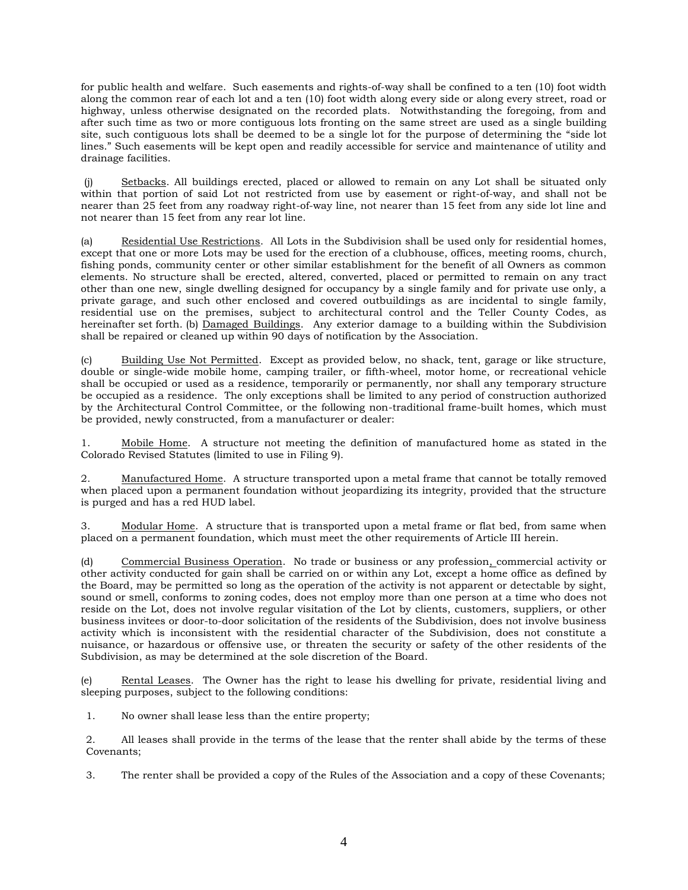for public health and welfare. Such easements and rights-of-way shall be confined to a ten (10) foot width along the common rear of each lot and a ten (10) foot width along every side or along every street, road or highway, unless otherwise designated on the recorded plats. Notwithstanding the foregoing, from and after such time as two or more contiguous lots fronting on the same street are used as a single building site, such contiguous lots shall be deemed to be a single lot for the purpose of determining the "side lot lines." Such easements will be kept open and readily accessible for service and maintenance of utility and drainage facilities.

(j) Setbacks. All buildings erected, placed or allowed to remain on any Lot shall be situated only within that portion of said Lot not restricted from use by easement or right-of-way, and shall not be nearer than 25 feet from any roadway right-of-way line, not nearer than 15 feet from any side lot line and not nearer than 15 feet from any rear lot line.

(a) Residential Use Restrictions. All Lots in the Subdivision shall be used only for residential homes, except that one or more Lots may be used for the erection of a clubhouse, offices, meeting rooms, church, fishing ponds, community center or other similar establishment for the benefit of all Owners as common elements. No structure shall be erected, altered, converted, placed or permitted to remain on any tract other than one new, single dwelling designed for occupancy by a single family and for private use only, a private garage, and such other enclosed and covered outbuildings as are incidental to single family, residential use on the premises, subject to architectural control and the Teller County Codes, as hereinafter set forth. (b) Damaged Buildings. Any exterior damage to a building within the Subdivision shall be repaired or cleaned up within 90 days of notification by the Association.

(c) Building Use Not Permitted. Except as provided below, no shack, tent, garage or like structure, double or single-wide mobile home, camping trailer, or fifth-wheel, motor home, or recreational vehicle shall be occupied or used as a residence, temporarily or permanently, nor shall any temporary structure be occupied as a residence. The only exceptions shall be limited to any period of construction authorized by the Architectural Control Committee, or the following non-traditional frame-built homes, which must be provided, newly constructed, from a manufacturer or dealer:

1. Mobile Home. A structure not meeting the definition of manufactured home as stated in the Colorado Revised Statutes (limited to use in Filing 9).

2. Manufactured Home. A structure transported upon a metal frame that cannot be totally removed when placed upon a permanent foundation without jeopardizing its integrity, provided that the structure is purged and has a red HUD label.

3. Modular Home. A structure that is transported upon a metal frame or flat bed, from same when placed on a permanent foundation, which must meet the other requirements of Article III herein.

(d) Commercial Business Operation. No trade or business or any profession, commercial activity or other activity conducted for gain shall be carried on or within any Lot, except a home office as defined by the Board, may be permitted so long as the operation of the activity is not apparent or detectable by sight, sound or smell, conforms to zoning codes, does not employ more than one person at a time who does not reside on the Lot, does not involve regular visitation of the Lot by clients, customers, suppliers, or other business invitees or door-to-door solicitation of the residents of the Subdivision, does not involve business activity which is inconsistent with the residential character of the Subdivision, does not constitute a nuisance, or hazardous or offensive use, or threaten the security or safety of the other residents of the Subdivision, as may be determined at the sole discretion of the Board.

(e) Rental Leases. The Owner has the right to lease his dwelling for private, residential living and sleeping purposes, subject to the following conditions:

1. No owner shall lease less than the entire property;

2. All leases shall provide in the terms of the lease that the renter shall abide by the terms of these Covenants;

3. The renter shall be provided a copy of the Rules of the Association and a copy of these Covenants;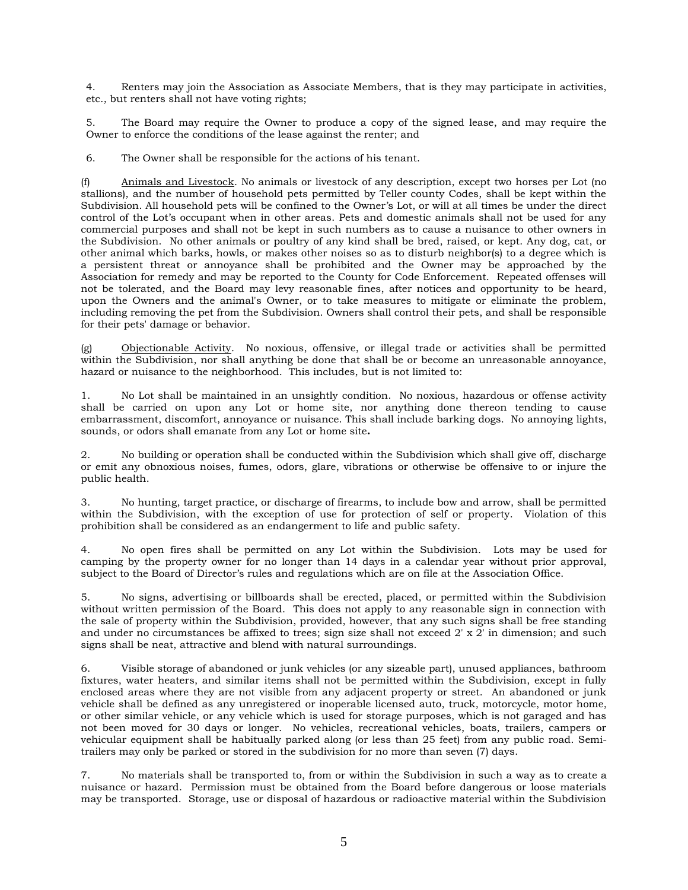4. Renters may join the Association as Associate Members, that is they may participate in activities, etc., but renters shall not have voting rights;

5. The Board may require the Owner to produce a copy of the signed lease, and may require the Owner to enforce the conditions of the lease against the renter; and

6. The Owner shall be responsible for the actions of his tenant.

(f) Animals and Livestock. No animals or livestock of any description, except two horses per Lot (no stallions), and the number of household pets permitted by Teller county Codes, shall be kept within the Subdivision. All household pets will be confined to the Owner's Lot, or will at all times be under the direct control of the Lot's occupant when in other areas. Pets and domestic animals shall not be used for any commercial purposes and shall not be kept in such numbers as to cause a nuisance to other owners in the Subdivision. No other animals or poultry of any kind shall be bred, raised, or kept. Any dog, cat, or other animal which barks, howls, or makes other noises so as to disturb neighbor(s) to a degree which is a persistent threat or annoyance shall be prohibited and the Owner may be approached by the Association for remedy and may be reported to the County for Code Enforcement. Repeated offenses will not be tolerated, and the Board may levy reasonable fines, after notices and opportunity to be heard, upon the Owners and the animal's Owner, or to take measures to mitigate or eliminate the problem, including removing the pet from the Subdivision. Owners shall control their pets, and shall be responsible for their pets' damage or behavior.

(g) Objectionable Activity. No noxious, offensive, or illegal trade or activities shall be permitted within the Subdivision, nor shall anything be done that shall be or become an unreasonable annoyance, hazard or nuisance to the neighborhood. This includes, but is not limited to:

1. No Lot shall be maintained in an unsightly condition. No noxious, hazardous or offense activity shall be carried on upon any Lot or home site, nor anything done thereon tending to cause embarrassment, discomfort, annoyance or nuisance. This shall include barking dogs. No annoying lights, sounds, or odors shall emanate from any Lot or home site**.** 

2. No building or operation shall be conducted within the Subdivision which shall give off, discharge or emit any obnoxious noises, fumes, odors, glare, vibrations or otherwise be offensive to or injure the public health.

3. No hunting, target practice, or discharge of firearms, to include bow and arrow, shall be permitted within the Subdivision, with the exception of use for protection of self or property. Violation of this prohibition shall be considered as an endangerment to life and public safety.

4. No open fires shall be permitted on any Lot within the Subdivision. Lots may be used for camping by the property owner for no longer than 14 days in a calendar year without prior approval, subject to the Board of Director's rules and regulations which are on file at the Association Office.

5. No signs, advertising or billboards shall be erected, placed, or permitted within the Subdivision without written permission of the Board. This does not apply to any reasonable sign in connection with the sale of property within the Subdivision, provided, however, that any such signs shall be free standing and under no circumstances be affixed to trees; sign size shall not exceed  $2' \times 2'$  in dimension; and such signs shall be neat, attractive and blend with natural surroundings.

6. Visible storage of abandoned or junk vehicles (or any sizeable part), unused appliances, bathroom fixtures, water heaters, and similar items shall not be permitted within the Subdivision, except in fully enclosed areas where they are not visible from any adjacent property or street. An abandoned or junk vehicle shall be defined as any unregistered or inoperable licensed auto, truck, motorcycle, motor home, or other similar vehicle, or any vehicle which is used for storage purposes, which is not garaged and has not been moved for 30 days or longer. No vehicles, recreational vehicles, boats, trailers, campers or vehicular equipment shall be habitually parked along (or less than 25 feet) from any public road. Semitrailers may only be parked or stored in the subdivision for no more than seven (7) days.

7. No materials shall be transported to, from or within the Subdivision in such a way as to create a nuisance or hazard. Permission must be obtained from the Board before dangerous or loose materials may be transported. Storage, use or disposal of hazardous or radioactive material within the Subdivision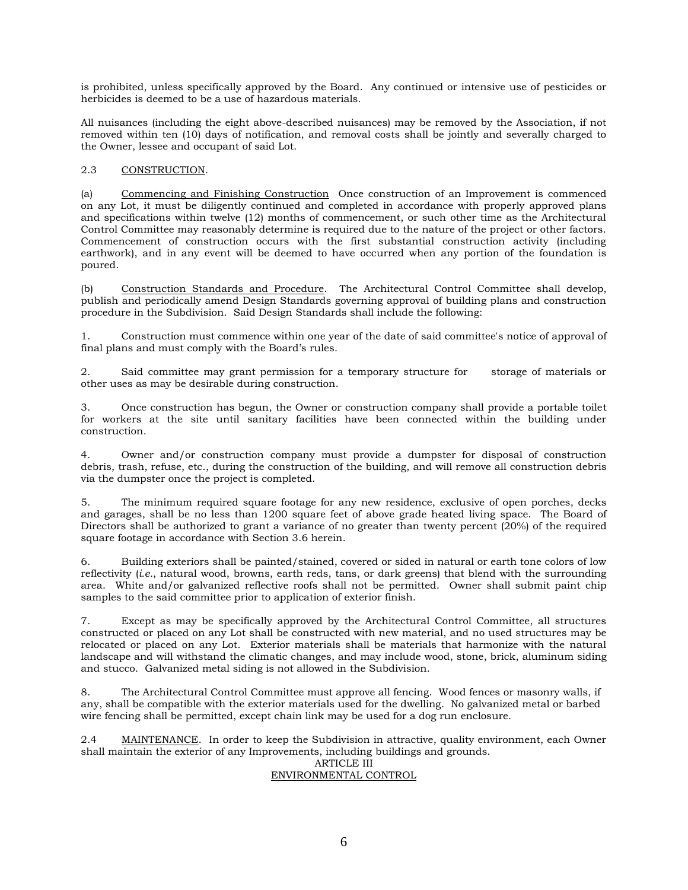is prohibited, unless specifically approved by the Board. Any continued or intensive use of pesticides or herbicides is deemed to be a use of hazardous materials.

All nuisances (including the eight above-described nuisances) may be removed by the Association, if not removed within ten (10) days of notification, and removal costs shall be jointly and severally charged to the Owner, lessee and occupant of said Lot.

## 2.3 CONSTRUCTION.

(a) Commencing and Finishing Construction Once construction of an Improvement is commenced on any Lot, it must be diligently continued and completed in accordance with properly approved plans and specifications within twelve (12) months of commencement, or such other time as the Architectural Control Committee may reasonably determine is required due to the nature of the project or other factors. Commencement of construction occurs with the first substantial construction activity (including earthwork), and in any event will be deemed to have occurred when any portion of the foundation is poured.

(b) Construction Standards and Procedure. The Architectural Control Committee shall develop, publish and periodically amend Design Standards governing approval of building plans and construction procedure in the Subdivision. Said Design Standards shall include the following:

1. Construction must commence within one year of the date of said committee's notice of approval of final plans and must comply with the Board's rules.

2. Said committee may grant permission for a temporary structure for storage of materials or other uses as may be desirable during construction.

3. Once construction has begun, the Owner or construction company shall provide a portable toilet for workers at the site until sanitary facilities have been connected within the building under construction.

4. Owner and/or construction company must provide a dumpster for disposal of construction debris, trash, refuse, etc., during the construction of the building, and will remove all construction debris via the dumpster once the project is completed.

5. The minimum required square footage for any new residence, exclusive of open porches, decks and garages, shall be no less than 1200 square feet of above grade heated living space. The Board of Directors shall be authorized to grant a variance of no greater than twenty percent (20%) of the required square footage in accordance with Section 3.6 herein.

6. Building exteriors shall be painted/stained, covered or sided in natural or earth tone colors of low reflectivity (*i.e.*, natural wood, browns, earth reds, tans, or dark greens) that blend with the surrounding area. White and/or galvanized reflective roofs shall not be permitted. Owner shall submit paint chip samples to the said committee prior to application of exterior finish.

7. Except as may be specifically approved by the Architectural Control Committee, all structures constructed or placed on any Lot shall be constructed with new material, and no used structures may be relocated or placed on any Lot. Exterior materials shall be materials that harmonize with the natural landscape and will withstand the climatic changes, and may include wood, stone, brick, aluminum siding and stucco. Galvanized metal siding is not allowed in the Subdivision.

8. The Architectural Control Committee must approve all fencing. Wood fences or masonry walls, if any, shall be compatible with the exterior materials used for the dwelling. No galvanized metal or barbed wire fencing shall be permitted, except chain link may be used for a dog run enclosure.

2.4 MAINTENANCE. In order to keep the Subdivision in attractive, quality environment, each Owner shall maintain the exterior of any Improvements, including buildings and grounds.

## ARTICLE III ENVIRONMENTAL CONTROL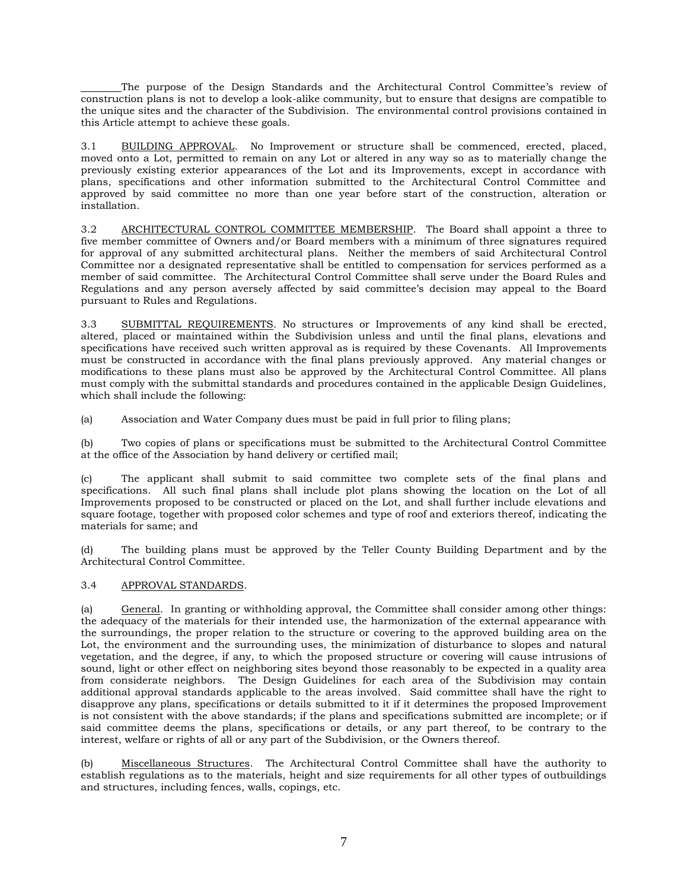The purpose of the Design Standards and the Architectural Control Committee's review of construction plans is not to develop a look-alike community, but to ensure that designs are compatible to the unique sites and the character of the Subdivision. The environmental control provisions contained in this Article attempt to achieve these goals.

3.1 BUILDING APPROVAL. No Improvement or structure shall be commenced, erected, placed, moved onto a Lot, permitted to remain on any Lot or altered in any way so as to materially change the previously existing exterior appearances of the Lot and its Improvements, except in accordance with plans, specifications and other information submitted to the Architectural Control Committee and approved by said committee no more than one year before start of the construction, alteration or installation.

3.2 ARCHITECTURAL CONTROL COMMITTEE MEMBERSHIP. The Board shall appoint a three to five member committee of Owners and/or Board members with a minimum of three signatures required for approval of any submitted architectural plans. Neither the members of said Architectural Control Committee nor a designated representative shall be entitled to compensation for services performed as a member of said committee. The Architectural Control Committee shall serve under the Board Rules and Regulations and any person aversely affected by said committee's decision may appeal to the Board pursuant to Rules and Regulations.

3.3 SUBMITTAL REQUIREMENTS. No structures or Improvements of any kind shall be erected, altered, placed or maintained within the Subdivision unless and until the final plans, elevations and specifications have received such written approval as is required by these Covenants. All Improvements must be constructed in accordance with the final plans previously approved. Any material changes or modifications to these plans must also be approved by the Architectural Control Committee. All plans must comply with the submittal standards and procedures contained in the applicable Design Guidelines, which shall include the following:

(a) Association and Water Company dues must be paid in full prior to filing plans;

(b) Two copies of plans or specifications must be submitted to the Architectural Control Committee at the office of the Association by hand delivery or certified mail;

(c) The applicant shall submit to said committee two complete sets of the final plans and specifications. All such final plans shall include plot plans showing the location on the Lot of all Improvements proposed to be constructed or placed on the Lot, and shall further include elevations and square footage, together with proposed color schemes and type of roof and exteriors thereof, indicating the materials for same; and

(d) The building plans must be approved by the Teller County Building Department and by the Architectural Control Committee.

## 3.4 APPROVAL STANDARDS.

(a) General. In granting or withholding approval, the Committee shall consider among other things: the adequacy of the materials for their intended use, the harmonization of the external appearance with the surroundings, the proper relation to the structure or covering to the approved building area on the Lot, the environment and the surrounding uses, the minimization of disturbance to slopes and natural vegetation, and the degree, if any, to which the proposed structure or covering will cause intrusions of sound, light or other effect on neighboring sites beyond those reasonably to be expected in a quality area from considerate neighbors. The Design Guidelines for each area of the Subdivision may contain additional approval standards applicable to the areas involved. Said committee shall have the right to disapprove any plans, specifications or details submitted to it if it determines the proposed Improvement is not consistent with the above standards; if the plans and specifications submitted are incomplete; or if said committee deems the plans, specifications or details, or any part thereof, to be contrary to the interest, welfare or rights of all or any part of the Subdivision, or the Owners thereof.

(b) Miscellaneous Structures. The Architectural Control Committee shall have the authority to establish regulations as to the materials, height and size requirements for all other types of outbuildings and structures, including fences, walls, copings, etc.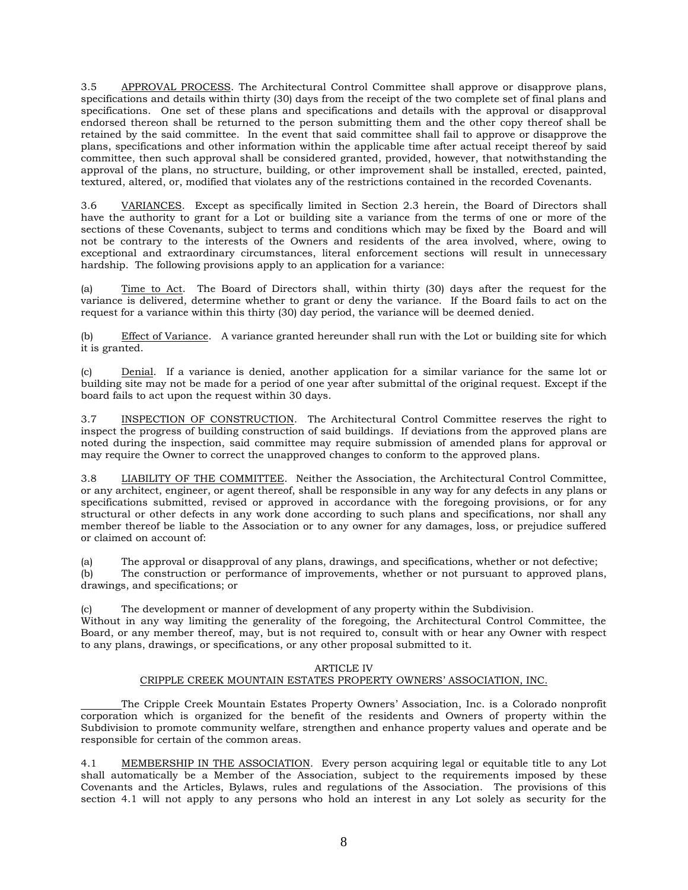3.5 APPROVAL PROCESS. The Architectural Control Committee shall approve or disapprove plans, specifications and details within thirty (30) days from the receipt of the two complete set of final plans and specifications. One set of these plans and specifications and details with the approval or disapproval endorsed thereon shall be returned to the person submitting them and the other copy thereof shall be retained by the said committee. In the event that said committee shall fail to approve or disapprove the plans, specifications and other information within the applicable time after actual receipt thereof by said committee, then such approval shall be considered granted, provided, however, that notwithstanding the approval of the plans, no structure, building, or other improvement shall be installed, erected, painted, textured, altered, or, modified that violates any of the restrictions contained in the recorded Covenants.

3.6 VARIANCES. Except as specifically limited in Section 2.3 herein, the Board of Directors shall have the authority to grant for a Lot or building site a variance from the terms of one or more of the sections of these Covenants, subject to terms and conditions which may be fixed by the Board and will not be contrary to the interests of the Owners and residents of the area involved, where, owing to exceptional and extraordinary circumstances, literal enforcement sections will result in unnecessary hardship. The following provisions apply to an application for a variance:

(a) Time to Act. The Board of Directors shall, within thirty (30) days after the request for the variance is delivered, determine whether to grant or deny the variance. If the Board fails to act on the request for a variance within this thirty (30) day period, the variance will be deemed denied.

(b) Effect of Variance. A variance granted hereunder shall run with the Lot or building site for which it is granted.

(c) Denial. If a variance is denied, another application for a similar variance for the same lot or building site may not be made for a period of one year after submittal of the original request. Except if the board fails to act upon the request within 30 days.

3.7 INSPECTION OF CONSTRUCTION. The Architectural Control Committee reserves the right to inspect the progress of building construction of said buildings. If deviations from the approved plans are noted during the inspection, said committee may require submission of amended plans for approval or may require the Owner to correct the unapproved changes to conform to the approved plans.

3.8 LIABILITY OF THE COMMITTEE. Neither the Association, the Architectural Control Committee, or any architect, engineer, or agent thereof, shall be responsible in any way for any defects in any plans or specifications submitted, revised or approved in accordance with the foregoing provisions, or for any structural or other defects in any work done according to such plans and specifications, nor shall any member thereof be liable to the Association or to any owner for any damages, loss, or prejudice suffered or claimed on account of:

(a) The approval or disapproval of any plans, drawings, and specifications, whether or not defective;

(b) The construction or performance of improvements, whether or not pursuant to approved plans, drawings, and specifications; or

(c) The development or manner of development of any property within the Subdivision.

Without in any way limiting the generality of the foregoing, the Architectural Control Committee, the Board, or any member thereof, may, but is not required to, consult with or hear any Owner with respect to any plans, drawings, or specifications, or any other proposal submitted to it.

#### ARTICLE IV CRIPPLE CREEK MOUNTAIN ESTATES PROPERTY OWNERS' ASSOCIATION, INC.

The Cripple Creek Mountain Estates Property Owners' Association, Inc. is a Colorado nonprofit corporation which is organized for the benefit of the residents and Owners of property within the Subdivision to promote community welfare, strengthen and enhance property values and operate and be responsible for certain of the common areas.

4.1 MEMBERSHIP IN THE ASSOCIATION. Every person acquiring legal or equitable title to any Lot shall automatically be a Member of the Association, subject to the requirements imposed by these Covenants and the Articles, Bylaws, rules and regulations of the Association. The provisions of this section 4.1 will not apply to any persons who hold an interest in any Lot solely as security for the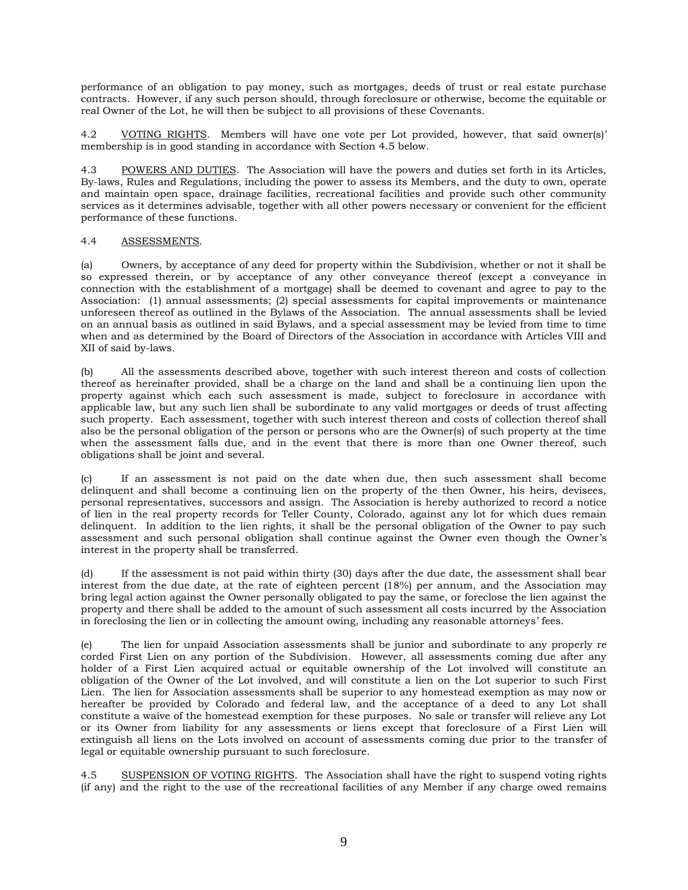performance of an obligation to pay money, such as mortgages, deeds of trust or real estate purchase contracts. However, if any such person should, through foreclosure or otherwise, become the equitable or real Owner of the Lot, he will then be subject to all provisions of these Covenants.

4.2 VOTING RIGHTS. Members will have one vote per Lot provided, however, that said owner(s)' membership is in good standing in accordance with Section 4.5 below.

4.3 POWERS AND DUTIES. The Association will have the powers and duties set forth in its Articles, By-laws, Rules and Regulations, including the power to assess its Members, and the duty to own, operate and maintain open space, drainage facilities, recreational facilities and provide such other community services as it determines advisable, together with all other powers necessary or convenient for the efficient performance of these functions.

## 4.4 ASSESSMENTS.

(a) Owners, by acceptance of any deed for property within the Subdivision, whether or not it shall be so expressed therein, or by acceptance of any other conveyance thereof (except a conveyance in connection with the establishment of a mortgage) shall be deemed to covenant and agree to pay to the Association: (1) annual assessments; (2) special assessments for capital improvements or maintenance unforeseen thereof as outlined in the Bylaws of the Association. The annual assessments shall be levied on an annual basis as outlined in said Bylaws, and a special assessment may be levied from time to time when and as determined by the Board of Directors of the Association in accordance with Articles VIII and XII of said by-laws.

(b) All the assessments described above, together with such interest thereon and costs of collection thereof as hereinafter provided, shall be a charge on the land and shall be a continuing lien upon the property against which each such assessment is made, subject to foreclosure in accordance with applicable law, but any such lien shall be subordinate to any valid mortgages or deeds of trust affecting such property. Each assessment, together with such interest thereon and costs of collection thereof shall also be the personal obligation of the person or persons who are the Owner(s) of such property at the time when the assessment falls due, and in the event that there is more than one Owner thereof, such obligations shall be joint and several.

(c) If an assessment is not paid on the date when due, then such assessment shall become delinquent and shall become a continuing lien on the property of the then Owner, his heirs, devisees, personal representatives, successors and assign. The Association is hereby authorized to record a notice of lien in the real property records for Teller County, Colorado, against any lot for which dues remain delinquent. In addition to the lien rights, it shall be the personal obligation of the Owner to pay such assessment and such personal obligation shall continue against the Owner even though the Owner's interest in the property shall be transferred.

(d) If the assessment is not paid within thirty (30) days after the due date, the assessment shall bear interest from the due date, at the rate of eighteen percent (18%) per annum, and the Association may bring legal action against the Owner personally obligated to pay the same, or foreclose the lien against the property and there shall be added to the amount of such assessment all costs incurred by the Association in foreclosing the lien or in collecting the amount owing, including any reasonable attorneys' fees.

(e) The lien for unpaid Association assessments shall be junior and subordinate to any properly re corded First Lien on any portion of the Subdivision. However, all assessments coming due after any holder of a First Lien acquired actual or equitable ownership of the Lot involved will constitute an obligation of the Owner of the Lot involved, and will constitute a lien on the Lot superior to such First Lien. The lien for Association assessments shall be superior to any homestead exemption as may now or hereafter be provided by Colorado and federal law, and the acceptance of a deed to any Lot shall constitute a waive of the homestead exemption for these purposes. No sale or transfer will relieve any Lot or its Owner from liability for any assessments or liens except that foreclosure of a First Lien will extinguish all liens on the Lots involved on account of assessments coming due prior to the transfer of legal or equitable ownership pursuant to such foreclosure.

4.5 SUSPENSION OF VOTING RIGHTS. The Association shall have the right to suspend voting rights (if any) and the right to the use of the recreational facilities of any Member if any charge owed remains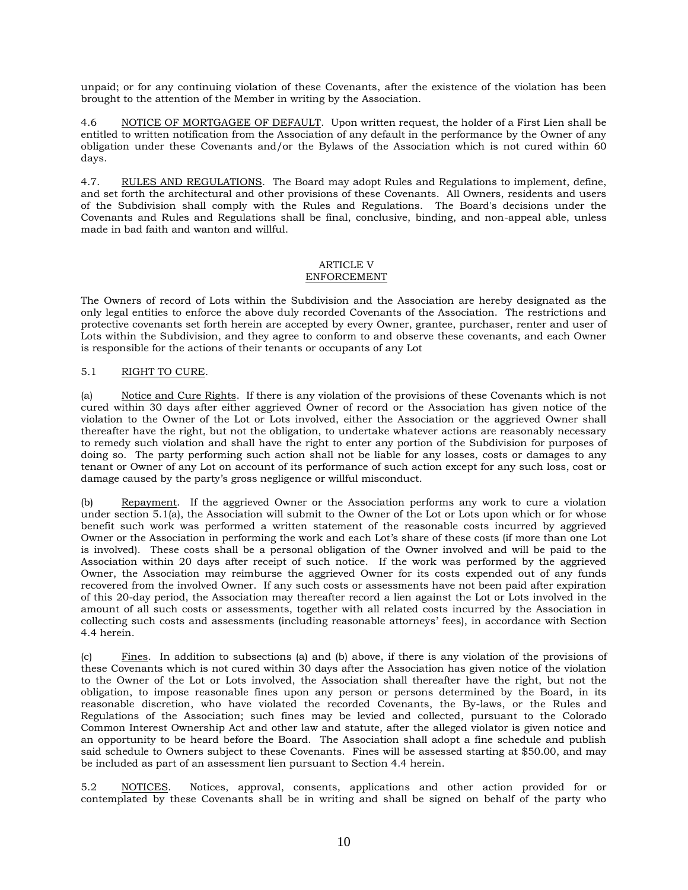unpaid; or for any continuing violation of these Covenants, after the existence of the violation has been brought to the attention of the Member in writing by the Association.

4.6 NOTICE OF MORTGAGEE OF DEFAULT. Upon written request, the holder of a First Lien shall be entitled to written notification from the Association of any default in the performance by the Owner of any obligation under these Covenants and/or the Bylaws of the Association which is not cured within 60 days.

4.7. RULES AND REGULATIONS. The Board may adopt Rules and Regulations to implement, define, and set forth the architectural and other provisions of these Covenants. All Owners, residents and users of the Subdivision shall comply with the Rules and Regulations. The Board's decisions under the Covenants and Rules and Regulations shall be final, conclusive, binding, and non-appeal able, unless made in bad faith and wanton and willful.

# ARTICLE V

## ENFORCEMENT

The Owners of record of Lots within the Subdivision and the Association are hereby designated as the only legal entities to enforce the above duly recorded Covenants of the Association. The restrictions and protective covenants set forth herein are accepted by every Owner, grantee, purchaser, renter and user of Lots within the Subdivision, and they agree to conform to and observe these covenants, and each Owner is responsible for the actions of their tenants or occupants of any Lot

## 5.1 RIGHT TO CURE.

(a) Notice and Cure Rights. If there is any violation of the provisions of these Covenants which is not cured within 30 days after either aggrieved Owner of record or the Association has given notice of the violation to the Owner of the Lot or Lots involved, either the Association or the aggrieved Owner shall thereafter have the right, but not the obligation, to undertake whatever actions are reasonably necessary to remedy such violation and shall have the right to enter any portion of the Subdivision for purposes of doing so. The party performing such action shall not be liable for any losses, costs or damages to any tenant or Owner of any Lot on account of its performance of such action except for any such loss, cost or damage caused by the party's gross negligence or willful misconduct.

(b) Repayment. If the aggrieved Owner or the Association performs any work to cure a violation under section 5.1(a), the Association will submit to the Owner of the Lot or Lots upon which or for whose benefit such work was performed a written statement of the reasonable costs incurred by aggrieved Owner or the Association in performing the work and each Lot's share of these costs (if more than one Lot is involved). These costs shall be a personal obligation of the Owner involved and will be paid to the Association within 20 days after receipt of such notice. If the work was performed by the aggrieved Owner, the Association may reimburse the aggrieved Owner for its costs expended out of any funds recovered from the involved Owner. If any such costs or assessments have not been paid after expiration of this 20-day period, the Association may thereafter record a lien against the Lot or Lots involved in the amount of all such costs or assessments, together with all related costs incurred by the Association in collecting such costs and assessments (including reasonable attorneys' fees), in accordance with Section 4.4 herein.

(c) Fines. In addition to subsections (a) and (b) above, if there is any violation of the provisions of these Covenants which is not cured within 30 days after the Association has given notice of the violation to the Owner of the Lot or Lots involved, the Association shall thereafter have the right, but not the obligation, to impose reasonable fines upon any person or persons determined by the Board, in its reasonable discretion, who have violated the recorded Covenants, the By-laws, or the Rules and Regulations of the Association; such fines may be levied and collected, pursuant to the Colorado Common Interest Ownership Act and other law and statute, after the alleged violator is given notice and an opportunity to be heard before the Board. The Association shall adopt a fine schedule and publish said schedule to Owners subject to these Covenants. Fines will be assessed starting at \$50.00, and may be included as part of an assessment lien pursuant to Section 4.4 herein.

5.2 NOTICES. Notices, approval, consents, applications and other action provided for or contemplated by these Covenants shall be in writing and shall be signed on behalf of the party who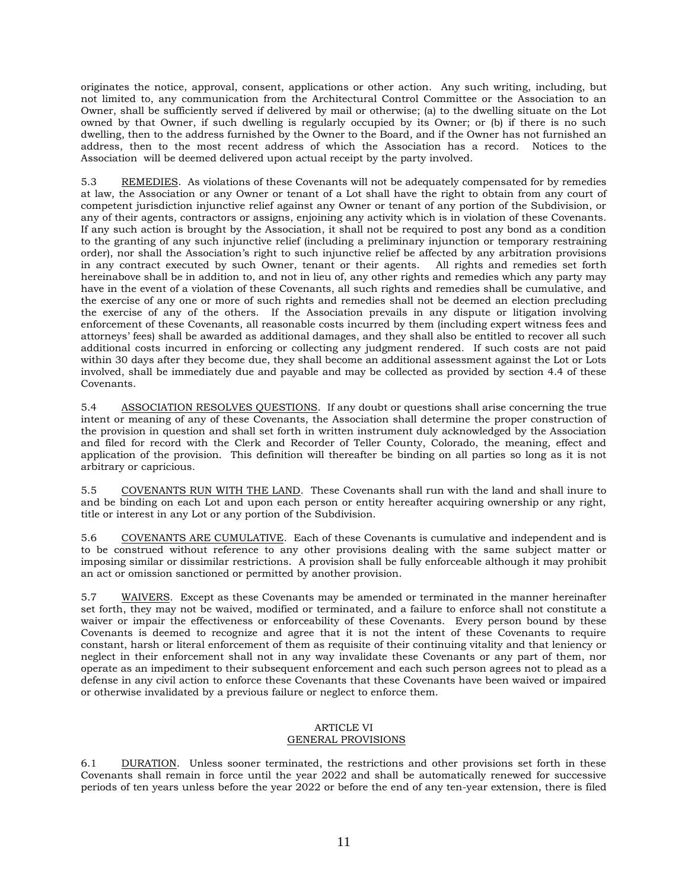originates the notice, approval, consent, applications or other action. Any such writing, including, but not limited to, any communication from the Architectural Control Committee or the Association to an Owner, shall be sufficiently served if delivered by mail or otherwise; (a) to the dwelling situate on the Lot owned by that Owner, if such dwelling is regularly occupied by its Owner; or (b) if there is no such dwelling, then to the address furnished by the Owner to the Board, and if the Owner has not furnished an address, then to the most recent address of which the Association has a record. Notices to the Association will be deemed delivered upon actual receipt by the party involved.

5.3 REMEDIES. As violations of these Covenants will not be adequately compensated for by remedies at law, the Association or any Owner or tenant of a Lot shall have the right to obtain from any court of competent jurisdiction injunctive relief against any Owner or tenant of any portion of the Subdivision, or any of their agents, contractors or assigns, enjoining any activity which is in violation of these Covenants. If any such action is brought by the Association, it shall not be required to post any bond as a condition to the granting of any such injunctive relief (including a preliminary injunction or temporary restraining order), nor shall the Association's right to such injunctive relief be affected by any arbitration provisions in any contract executed by such Owner, tenant or their agents. All rights and remedies set forth hereinabove shall be in addition to, and not in lieu of, any other rights and remedies which any party may have in the event of a violation of these Covenants, all such rights and remedies shall be cumulative, and the exercise of any one or more of such rights and remedies shall not be deemed an election precluding the exercise of any of the others. If the Association prevails in any dispute or litigation involving enforcement of these Covenants, all reasonable costs incurred by them (including expert witness fees and attorneys' fees) shall be awarded as additional damages, and they shall also be entitled to recover all such additional costs incurred in enforcing or collecting any judgment rendered. If such costs are not paid within 30 days after they become due, they shall become an additional assessment against the Lot or Lots involved, shall be immediately due and payable and may be collected as provided by section 4.4 of these Covenants.

5.4 ASSOCIATION RESOLVES QUESTIONS. If any doubt or questions shall arise concerning the true intent or meaning of any of these Covenants, the Association shall determine the proper construction of the provision in question and shall set forth in written instrument duly acknowledged by the Association and filed for record with the Clerk and Recorder of Teller County, Colorado, the meaning, effect and application of the provision. This definition will thereafter be binding on all parties so long as it is not arbitrary or capricious.

5.5 COVENANTS RUN WITH THE LAND. These Covenants shall run with the land and shall inure to and be binding on each Lot and upon each person or entity hereafter acquiring ownership or any right, title or interest in any Lot or any portion of the Subdivision.

5.6 COVENANTS ARE CUMULATIVE. Each of these Covenants is cumulative and independent and is to be construed without reference to any other provisions dealing with the same subject matter or imposing similar or dissimilar restrictions. A provision shall be fully enforceable although it may prohibit an act or omission sanctioned or permitted by another provision.

5.7 WAIVERS. Except as these Covenants may be amended or terminated in the manner hereinafter set forth, they may not be waived, modified or terminated, and a failure to enforce shall not constitute a waiver or impair the effectiveness or enforceability of these Covenants. Every person bound by these Covenants is deemed to recognize and agree that it is not the intent of these Covenants to require constant, harsh or literal enforcement of them as requisite of their continuing vitality and that leniency or neglect in their enforcement shall not in any way invalidate these Covenants or any part of them, nor operate as an impediment to their subsequent enforcement and each such person agrees not to plead as a defense in any civil action to enforce these Covenants that these Covenants have been waived or impaired or otherwise invalidated by a previous failure or neglect to enforce them.

#### ARTICLE VI GENERAL PROVISIONS

6.1 DURATION. Unless sooner terminated, the restrictions and other provisions set forth in these Covenants shall remain in force until the year 2022 and shall be automatically renewed for successive periods of ten years unless before the year 2022 or before the end of any ten-year extension, there is filed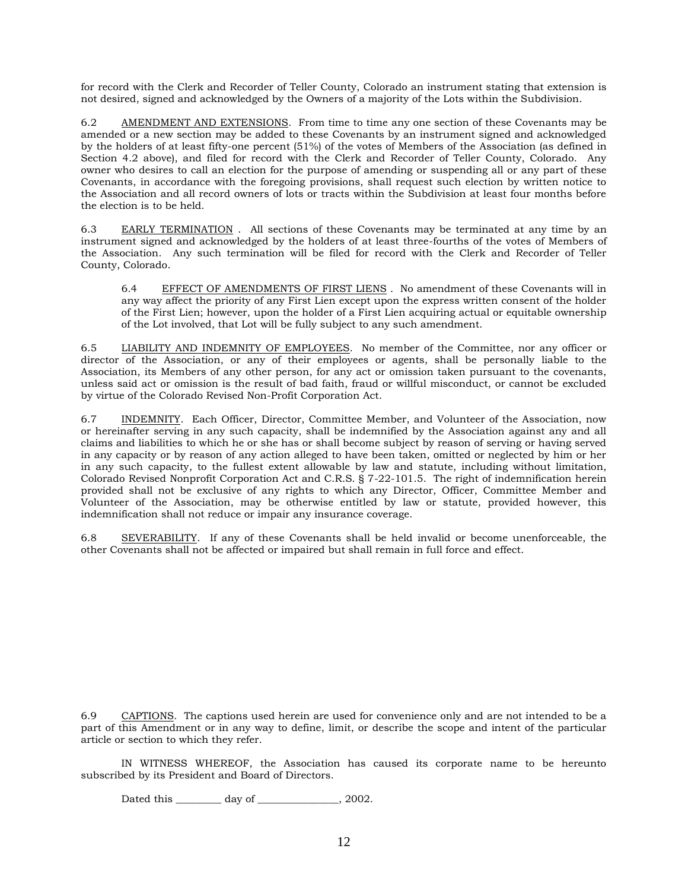for record with the Clerk and Recorder of Teller County, Colorado an instrument stating that extension is not desired, signed and acknowledged by the Owners of a majority of the Lots within the Subdivision.

6.2 AMENDMENT AND EXTENSIONS. From time to time any one section of these Covenants may be amended or a new section may be added to these Covenants by an instrument signed and acknowledged by the holders of at least fifty-one percent (51%) of the votes of Members of the Association (as defined in Section 4.2 above), and filed for record with the Clerk and Recorder of Teller County, Colorado. Any owner who desires to call an election for the purpose of amending or suspending all or any part of these Covenants, in accordance with the foregoing provisions, shall request such election by written notice to the Association and all record owners of lots or tracts within the Subdivision at least four months before the election is to be held.

6.3 EARLY TERMINATION . All sections of these Covenants may be terminated at any time by an instrument signed and acknowledged by the holders of at least three-fourths of the votes of Members of the Association. Any such termination will be filed for record with the Clerk and Recorder of Teller County, Colorado.

6.4 EFFECT OF AMENDMENTS OF FIRST LIENS . No amendment of these Covenants will in any way affect the priority of any First Lien except upon the express written consent of the holder of the First Lien; however, upon the holder of a First Lien acquiring actual or equitable ownership of the Lot involved, that Lot will be fully subject to any such amendment.

6.5 LIABILITY AND INDEMNITY OF EMPLOYEES. No member of the Committee, nor any officer or director of the Association, or any of their employees or agents, shall be personally liable to the Association, its Members of any other person, for any act or omission taken pursuant to the covenants, unless said act or omission is the result of bad faith, fraud or willful misconduct, or cannot be excluded by virtue of the Colorado Revised Non-Profit Corporation Act.

6.7 INDEMNITY. Each Officer, Director, Committee Member, and Volunteer of the Association, now or hereinafter serving in any such capacity, shall be indemnified by the Association against any and all claims and liabilities to which he or she has or shall become subject by reason of serving or having served in any capacity or by reason of any action alleged to have been taken, omitted or neglected by him or her in any such capacity, to the fullest extent allowable by law and statute, including without limitation, Colorado Revised Nonprofit Corporation Act and C.R.S. § 7-22-101.5. The right of indemnification herein provided shall not be exclusive of any rights to which any Director, Officer, Committee Member and Volunteer of the Association, may be otherwise entitled by law or statute, provided however, this indemnification shall not reduce or impair any insurance coverage.

6.8 SEVERABILITY. If any of these Covenants shall be held invalid or become unenforceable, the other Covenants shall not be affected or impaired but shall remain in full force and effect.

6.9 CAPTIONS. The captions used herein are used for convenience only and are not intended to be a part of this Amendment or in any way to define, limit, or describe the scope and intent of the particular article or section to which they refer.

IN WITNESS WHEREOF, the Association has caused its corporate name to be hereunto subscribed by its President and Board of Directors.

Dated this \_\_\_\_\_\_\_\_\_\_ day of \_\_\_\_\_\_\_\_\_\_\_\_\_\_\_, 2002.